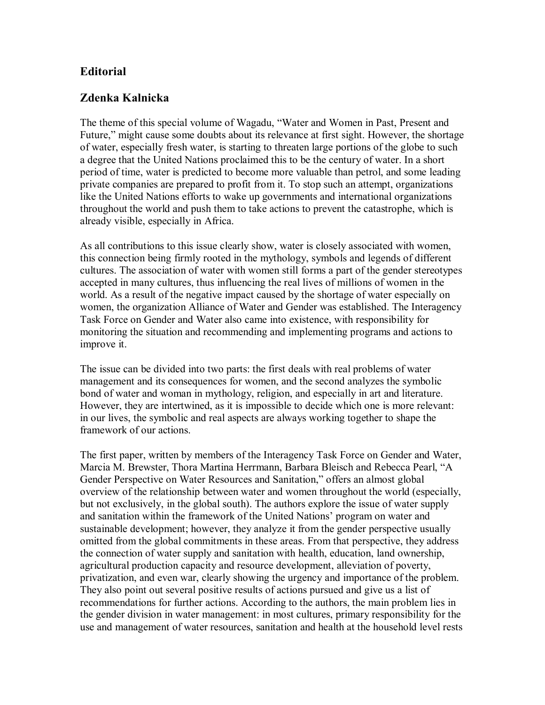## **Editorial**

## **Zdenka Kalnicka**

The theme of this special volume of Wagadu, "Water and Women in Past, Present and Future," might cause some doubts about its relevance at first sight. However, the shortage of water, especially fresh water, is starting to threaten large portions of the globe to such a degree that the United Nations proclaimed this to be the century of water. In a short period of time, water is predicted to become more valuable than petrol, and some leading private companies are prepared to profit from it. To stop such an attempt, organizations like the United Nations efforts to wake up governments and international organizations throughout the world and push them to take actions to prevent the catastrophe, which is already visible, especially in Africa.

As all contributions to this issue clearly show, water is closely associated with women, this connection being firmly rooted in the mythology, symbols and legends of different cultures. The association of water with women still forms a part of the gender stereotypes accepted in many cultures, thus influencing the real lives of millions of women in the world. As a result of the negative impact caused by the shortage of water especially on women, the organization Alliance of Water and Gender was established. The Interagency Task Force on Gender and Water also came into existence, with responsibility for monitoring the situation and recommending and implementing programs and actions to improve it.

The issue can be divided into two parts: the first deals with real problems of water management and its consequences for women, and the second analyzes the symbolic bond of water and woman in mythology, religion, and especially in art and literature. However, they are intertwined, as it is impossible to decide which one is more relevant: in our lives, the symbolic and real aspects are always working together to shape the framework of our actions.

The first paper, written by members of the Interagency Task Force on Gender and Water, Marcia M. Brewster, Thora Martina Herrmann, Barbara Bleisch and Rebecca Pearl, "A Gender Perspective on Water Resources and Sanitation," offers an almost global overview of the relationship between water and women throughout the world (especially, but not exclusively, in the global south). The authors explore the issue of water supply and sanitation within the framework of the United Nations' program on water and sustainable development; however, they analyze it from the gender perspective usually omitted from the global commitments in these areas. From that perspective, they address the connection of water supply and sanitation with health, education, land ownership, agricultural production capacity and resource development, alleviation of poverty, privatization, and even war, clearly showing the urgency and importance of the problem. They also point out several positive results of actions pursued and give us a list of recommendations for further actions. According to the authors, the main problem lies in the gender division in water management: in most cultures, primary responsibility for the use and management of water resources, sanitation and health at the household level rests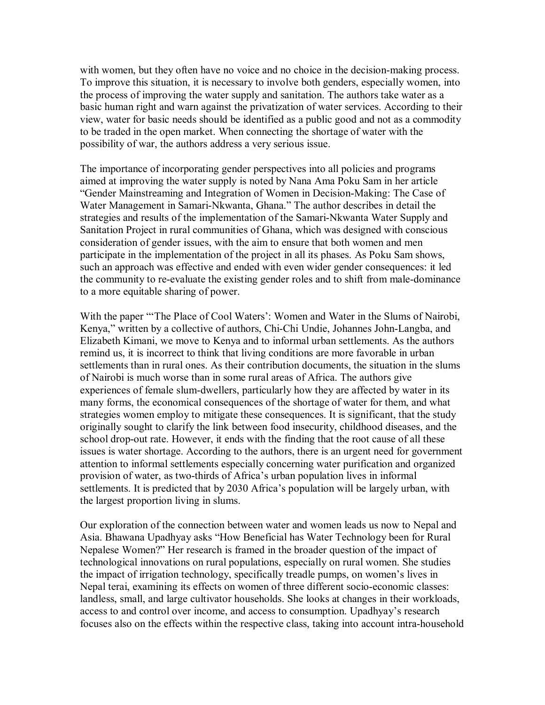with women, but they often have no voice and no choice in the decision-making process. To improve this situation, it is necessary to involve both genders, especially women, into the process of improving the water supply and sanitation. The authors take water as a basic human right and warn against the privatization of water services. According to their view, water for basic needs should be identified as a public good and not as a commodity to be traded in the open market. When connecting the shortage of water with the possibility of war, the authors address a very serious issue.

The importance of incorporating gender perspectives into all policies and programs aimed at improving the water supply is noted by Nana Ama Poku Sam in her article "Gender Mainstreaming and Integration of Women in Decision-Making: The Case of Water Management in Samari-Nkwanta, Ghana." The author describes in detail the strategies and results of the implementation of the Samari-Nkwanta Water Supply and Sanitation Project in rural communities of Ghana, which was designed with conscious consideration of gender issues, with the aim to ensure that both women and men participate in the implementation of the project in all its phases. As Poku Sam shows, such an approach was effective and ended with even wider gender consequences: it led the community to re-evaluate the existing gender roles and to shift from male-dominance to a more equitable sharing of power.

With the paper "The Place of Cool Waters': Women and Water in the Slums of Nairobi, Kenya," written by a collective of authors, Chi-Chi Undie, Johannes John-Langba, and Elizabeth Kimani, we move to Kenya and to informal urban settlements. As the authors remind us, it is incorrect to think that living conditions are more favorable in urban settlements than in rural ones. As their contribution documents, the situation in the slums of Nairobi is much worse than in some rural areas of Africa. The authors give experiences of female slum-dwellers, particularly how they are affected by water in its many forms, the economical consequences of the shortage of water for them, and what strategies women employ to mitigate these consequences. It is significant, that the study originally sought to clarify the link between food insecurity, childhood diseases, and the school drop-out rate. However, it ends with the finding that the root cause of all these issues is water shortage. According to the authors, there is an urgent need for government attention to informal settlements especially concerning water purification and organized provision of water, as two-thirds of Africa's urban population lives in informal settlements. It is predicted that by 2030 Africa's population will be largely urban, with the largest proportion living in slums.

Our exploration of the connection between water and women leads us now to Nepal and Asia. Bhawana Upadhyay asks "How Beneficial has Water Technology been for Rural Nepalese Women?" Her research is framed in the broader question of the impact of technological innovations on rural populations, especially on rural women. She studies the impact of irrigation technology, specifically treadle pumps, on women's lives in Nepal terai, examining its effects on women of three different socio-economic classes: landless, small, and large cultivator households. She looks at changes in their workloads, access to and control over income, and access to consumption. Upadhyay's research focuses also on the effects within the respective class, taking into account intra-household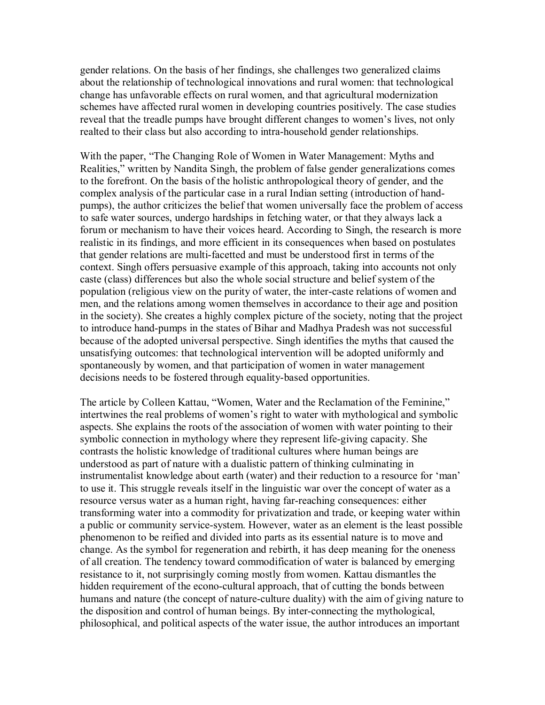gender relations. On the basis of her findings, she challenges two generalized claims about the relationship of technological innovations and rural women: that technological change has unfavorable effects on rural women, and that agricultural modernization schemes have affected rural women in developing countries positively. The case studies reveal that the treadle pumps have brought different changes to women's lives, not only realted to their class but also according to intra-household gender relationships.

With the paper, "The Changing Role of Women in Water Management: Myths and Realities," written by Nandita Singh, the problem of false gender generalizations comes to the forefront. On the basis of the holistic anthropological theory of gender, and the complex analysis of the particular case in a rural Indian setting (introduction of handpumps), the author criticizes the belief that women universally face the problem of access to safe water sources, undergo hardships in fetching water, or that they always lack a forum or mechanism to have their voices heard. According to Singh, the research is more realistic in its findings, and more efficient in its consequences when based on postulates that gender relations are multi-facetted and must be understood first in terms of the context. Singh offers persuasive example of this approach, taking into accounts not only caste (class) differences but also the whole social structure and belief system of the population (religious view on the purity of water, the inter-caste relations of women and men, and the relations among women themselves in accordance to their age and position in the society). She creates a highly complex picture of the society, noting that the project to introduce hand-pumps in the states of Bihar and Madhya Pradesh was not successful because of the adopted universal perspective. Singh identifies the myths that caused the unsatisfying outcomes: that technological intervention will be adopted uniformly and spontaneously by women, and that participation of women in water management decisions needs to be fostered through equality-based opportunities.

The article by Colleen Kattau, "Women, Water and the Reclamation of the Feminine," intertwines the real problems of women's right to water with mythological and symbolic aspects. She explains the roots of the association of women with water pointing to their symbolic connection in mythology where they represent life-giving capacity. She contrasts the holistic knowledge of traditional cultures where human beings are understood as part of nature with a dualistic pattern of thinking culminating in instrumentalist knowledge about earth (water) and their reduction to a resource for 'man' to use it. This struggle reveals itself in the linguistic war over the concept of water as a resource versus water as a human right, having far-reaching consequences: either transforming water into a commodity for privatization and trade, or keeping water within a public or community service-system. However, water as an element is the least possible phenomenon to be reified and divided into parts as its essential nature is to move and change. As the symbol for regeneration and rebirth, it has deep meaning for the oneness of all creation. The tendency toward commodification of water is balanced by emerging resistance to it, not surprisingly coming mostly from women. Kattau dismantles the hidden requirement of the econo-cultural approach, that of cutting the bonds between humans and nature (the concept of nature-culture duality) with the aim of giving nature to the disposition and control of human beings. By inter-connecting the mythological, philosophical, and political aspects of the water issue, the author introduces an important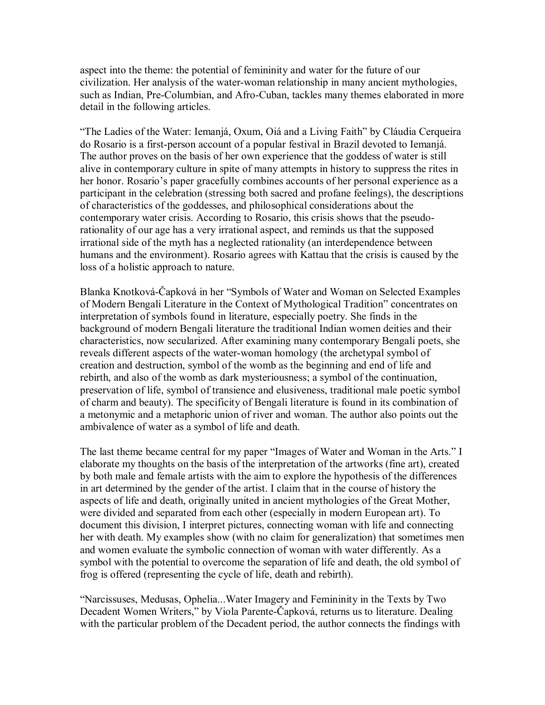aspect into the theme: the potential of femininity and water for the future of our civilization. Her analysis of the water-woman relationship in many ancient mythologies, such as Indian, Pre-Columbian, and Afro-Cuban, tackles many themes elaborated in more detail in the following articles.

"The Ladies of the Water: Iemanjá, Oxum, Oiá and a Living Faith" by Cláudia Cerqueira do Rosario is a first-person account of a popular festival in Brazil devoted to Iemanjá. The author proves on the basis of her own experience that the goddess of water is still alive in contemporary culture in spite of many attempts in history to suppress the rites in her honor. Rosario's paper gracefully combines accounts of her personal experience as a participant in the celebration (stressing both sacred and profane feelings), the descriptions of characteristics of the goddesses, and philosophical considerations about the contemporary water crisis. According to Rosario, this crisis shows that the pseudorationality of our age has a very irrational aspect, and reminds us that the supposed irrational side of the myth has a neglected rationality (an interdependence between humans and the environment). Rosario agrees with Kattau that the crisis is caused by the loss of a holistic approach to nature.

Blanka Knotková-Čapková in her "Symbols of Water and Woman on Selected Examples of Modern Bengali Literature in the Context of Mythological Tradition" concentrates on interpretation of symbols found in literature, especially poetry. She finds in the background of modern Bengali literature the traditional Indian women deities and their characteristics, now secularized. After examining many contemporary Bengali poets, she reveals different aspects of the water-woman homology (the archetypal symbol of creation and destruction, symbol of the womb as the beginning and end of life and rebirth, and also of the womb as dark mysteriousness; a symbol of the continuation, preservation of life, symbol of transience and elusiveness, traditional male poetic symbol of charm and beauty). The specificity of Bengali literature is found in its combination of a metonymic and a metaphoric union of river and woman. The author also points out the ambivalence of water as a symbol of life and death.

The last theme became central for my paper "Images of Water and Woman in the Arts." I elaborate my thoughts on the basis of the interpretation of the artworks (fine art), created by both male and female artists with the aim to explore the hypothesis of the differences in art determined by the gender of the artist. I claim that in the course of history the aspects of life and death, originally united in ancient mythologies of the Great Mother, were divided and separated from each other (especially in modern European art). To document this division, I interpret pictures, connecting woman with life and connecting her with death. My examples show (with no claim for generalization) that sometimes men and women evaluate the symbolic connection of woman with water differently. As a symbol with the potential to overcome the separation of life and death, the old symbol of frog is offered (representing the cycle of life, death and rebirth).

"Narcissuses, Medusas, Ophelia...Water Imagery and Femininity in the Texts by Two Decadent Women Writers," by Viola Parente-Čapková, returns us to literature. Dealing with the particular problem of the Decadent period, the author connects the findings with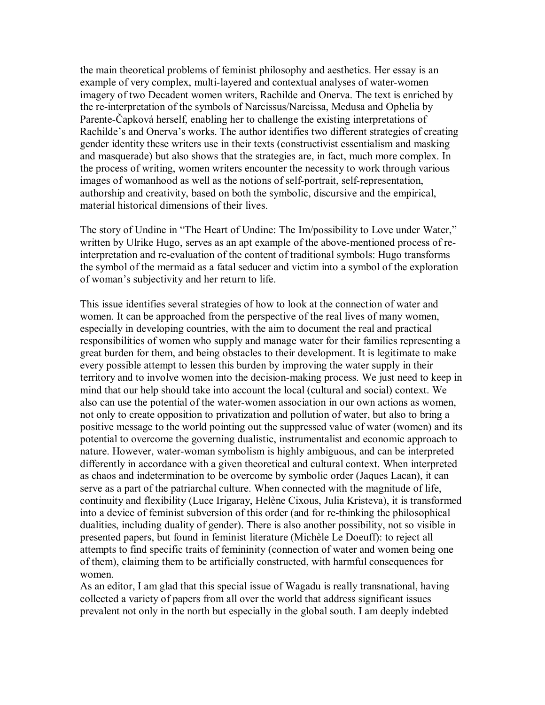the main theoretical problems of feminist philosophy and aesthetics. Her essay is an example of very complex, multi-layered and contextual analyses of water-women imagery of two Decadent women writers, Rachilde and Onerva. The text is enriched by the re-interpretation of the symbols of Narcissus/Narcissa, Medusa and Ophelia by ParenteČapková herself, enabling her to challenge the existing interpretations of Rachilde's and Onerva's works. The author identifies two different strategies of creating gender identity these writers use in their texts (constructivist essentialism and masking and masquerade) but also shows that the strategies are, in fact, much more complex. In the process of writing, women writers encounter the necessity to work through various images of womanhood as well as the notions of self-portrait, self-representation, authorship and creativity, based on both the symbolic, discursive and the empirical, material historical dimensions of their lives.

The story of Undine in "The Heart of Undine: The Im/possibility to Love under Water," written by Ulrike Hugo, serves as an apt example of the above-mentioned process of reinterpretation and re-evaluation of the content of traditional symbols: Hugo transforms the symbol of the mermaid as a fatal seducer and victim into a symbol of the exploration of woman's subjectivity and her return to life.

This issue identifies several strategies of how to look at the connection of water and women. It can be approached from the perspective of the real lives of many women, especially in developing countries, with the aim to document the real and practical responsibilities of women who supply and manage water for their families representing a great burden for them, and being obstacles to their development. It is legitimate to make every possible attempt to lessen this burden by improving the water supply in their territory and to involve women into the decision-making process. We just need to keep in mind that our help should take into account the local (cultural and social) context. We also can use the potential of the water-women association in our own actions as women, not only to create opposition to privatization and pollution of water, but also to bring a positive message to the world pointing out the suppressed value of water (women) and its potential to overcome the governing dualistic, instrumentalist and economic approach to nature. However, water-woman symbolism is highly ambiguous, and can be interpreted differently in accordance with a given theoretical and cultural context. When interpreted as chaos and indetermination to be overcome by symbolic order (Jaques Lacan), it can serve as a part of the patriarchal culture. When connected with the magnitude of life, continuity and flexibility (Luce Irigaray, Helène Cixous, Julia Kristeva), it is transformed into a device of feminist subversion of this order (and for re-thinking the philosophical dualities, including duality of gender). There is also another possibility, not so visible in presented papers, but found in feminist literature (Michèle Le Doeuff): to reject all attempts to find specific traits of femininity (connection of water and women being one of them), claiming them to be artificially constructed, with harmful consequences for women.

As an editor, I am glad that this special issue of Wagadu is really transnational, having collected a variety of papers from all over the world that address significant issues prevalent not only in the north but especially in the global south. I am deeply indebted